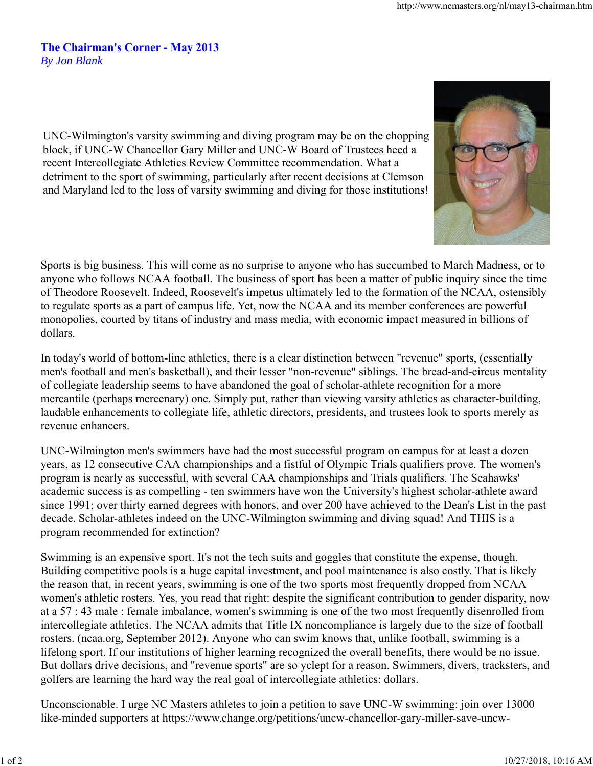## **The Chairman's Corner - May 2013** *By Jon Blank*

UNC-Wilmington's varsity swimming and diving program may be on the chopping block, if UNC-W Chancellor Gary Miller and UNC-W Board of Trustees heed a recent Intercollegiate Athletics Review Committee recommendation. What a detriment to the sport of swimming, particularly after recent decisions at Clemson and Maryland led to the loss of varsity swimming and diving for those institutions!



In today's world of bottom-line athletics, there is a clear distinction between "revenue" sports, (essentially men's football and men's basketball), and their lesser "non-revenue" siblings. The bread-and-circus mentality of collegiate leadership seems to have abandoned the goal of scholar-athlete recognition for a more mercantile (perhaps mercenary) one. Simply put, rather than viewing varsity athletics as character-building, laudable enhancements to collegiate life, athletic directors, presidents, and trustees look to sports merely as revenue enhancers.

UNC-Wilmington men's swimmers have had the most successful program on campus for at least a dozen years, as 12 consecutive CAA championships and a fistful of Olympic Trials qualifiers prove. The women's program is nearly as successful, with several CAA championships and Trials qualifiers. The Seahawks' academic success is as compelling - ten swimmers have won the University's highest scholar-athlete award since 1991; over thirty earned degrees with honors, and over 200 have achieved to the Dean's List in the past decade. Scholar-athletes indeed on the UNC-Wilmington swimming and diving squad! And THIS is a program recommended for extinction?

Swimming is an expensive sport. It's not the tech suits and goggles that constitute the expense, though. Building competitive pools is a huge capital investment, and pool maintenance is also costly. That is likely the reason that, in recent years, swimming is one of the two sports most frequently dropped from NCAA women's athletic rosters. Yes, you read that right: despite the significant contribution to gender disparity, now at a 57 : 43 male : female imbalance, women's swimming is one of the two most frequently disenrolled from intercollegiate athletics. The NCAA admits that Title IX noncompliance is largely due to the size of football rosters. (ncaa.org, September 2012). Anyone who can swim knows that, unlike football, swimming is a lifelong sport. If our institutions of higher learning recognized the overall benefits, there would be no issue. But dollars drive decisions, and "revenue sports" are so yclept for a reason. Swimmers, divers, tracksters, and golfers are learning the hard way the real goal of intercollegiate athletics: dollars.

Unconscionable. I urge NC Masters athletes to join a petition to save UNC-W swimming: join over 13000 like-minded supporters at https://www.change.org/petitions/uncw-chancellor-gary-miller-save-uncw-